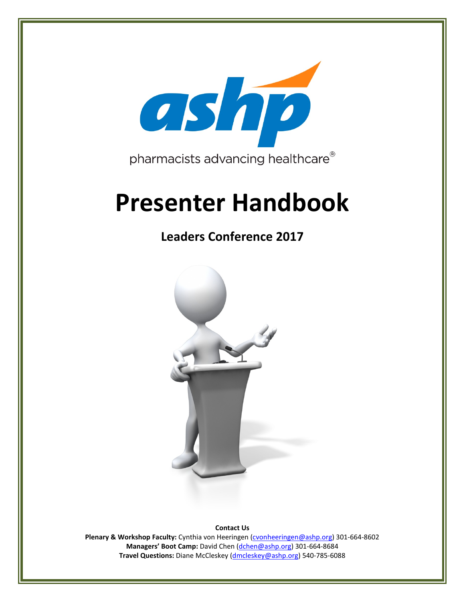

# **Presenter Handbook**

# **Leaders Conference 2017**



**Contact Us**

**Plenary & Workshop Faculty:** Cynthia von Heeringen [\(cvonheeringen@ashp.org\)](mailto:cvonheeringen@ashp.org) 301-664-8602 **Managers' Boot Camp:** David Chen [\(dchen@ashp.org\)](mailto:dchen@ashp.org) 301-664-8684 **Travel Questions:** Diane McCleskey [\(dmcleskey@ashp.org\)](mailto:dmcleskey@ashp.org) 540-785-6088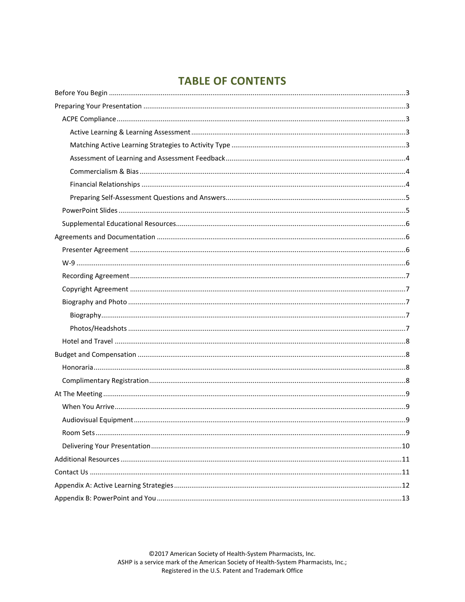# **TABLE OF CONTENTS**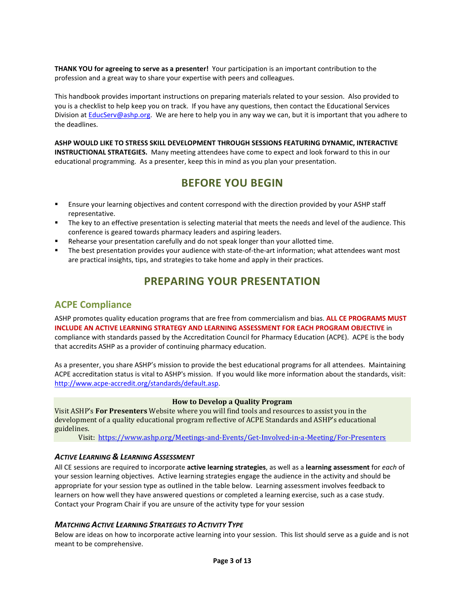**THANK YOU for agreeing to serve as a presenter!** Your participation is an important contribution to the profession and a great way to share your expertise with peers and colleagues.

This handbook provides important instructions on preparing materials related to your session. Also provided to you is a checklist to help keep you on track. If you have any questions, then contact the Educational Services Division a[t EducServ@ashp.org.](mailto:EducServ@ashp.org) We are here to help you in any way we can, but it is important that you adhere to the deadlines.

**ASHP WOULD LIKE TO STRESS SKILL DEVELOPMENT THROUGH SESSIONS FEATURING DYNAMIC, INTERACTIVE INSTRUCTIONAL STRATEGIES.** Many meeting attendees have come to expect and look forward to this in our educational programming. As a presenter, keep this in mind as you plan your presentation.

# **BEFORE YOU BEGIN**

- <span id="page-2-0"></span> Ensure your learning objectives and content correspond with the direction provided by your ASHP staff representative.
- The key to an effective presentation is selecting material that meets the needs and level of the audience. This conference is geared towards pharmacy leaders and aspiring leaders.
- Rehearse your presentation carefully and do not speak longer than your allotted time.
- The best presentation provides your audience with state-of-the-art information; what attendees want most are practical insights, tips, and strategies to take home and apply in their practices.

# **PREPARING YOUR PRESENTATION**

#### <span id="page-2-2"></span><span id="page-2-1"></span>**ACPE Compliance**

ASHP promotes quality education programs that are free from commercialism and bias. **ALL CE PROGRAMS MUST INCLUDE AN ACTIVE LEARNING STRATEGY AND LEARNING ASSESSMENT FOR EACH PROGRAM OBJECTIVE** in compliance with standards passed by the Accreditation Council for Pharmacy Education (ACPE). ACPE is the body that accredits ASHP as a provider of continuing pharmacy education.

As a presenter, you share ASHP's mission to provide the best educational programs for all attendees. Maintaining ACPE accreditation status is vital to ASHP's mission. If you would like more information about the standards, visit: [http://www.acpe-accredit.org/standards/default.asp.](http://www.acpe-accredit.org/standards/default.asp)

#### **How to Develop a Quality Program**

Visit ASHP's **For Presenters** Website where you will find tools and resources to assist you in the development of a quality educational program reflective of ACPE Standards and ASHP's educational guidelines.

Visit:<https://www.ashp.org/Meetings-and-Events/Get-Involved-in-a-Meeting/For-Presenters>

#### <span id="page-2-3"></span>*ACTIVE LEARNING & LEARNING ASSESSMENT*

All CE sessions are required to incorporate **active learning strategies**, as well as a **learning assessment** for *each* of your session learning objectives. Active learning strategies engage the audience in the activity and should be appropriate for your session type as outlined in the table below. Learning assessment involves feedback to learners on how well they have answered questions or completed a learning exercise, such as a case study. Contact your Program Chair if you are unsure of the activity type for your session

#### <span id="page-2-4"></span>*MATCHING ACTIVE LEARNING STRATEGIES TO ACTIVITY TYPE*

Below are ideas on how to incorporate active learning into your session. This list should serve as a guide and is not meant to be comprehensive.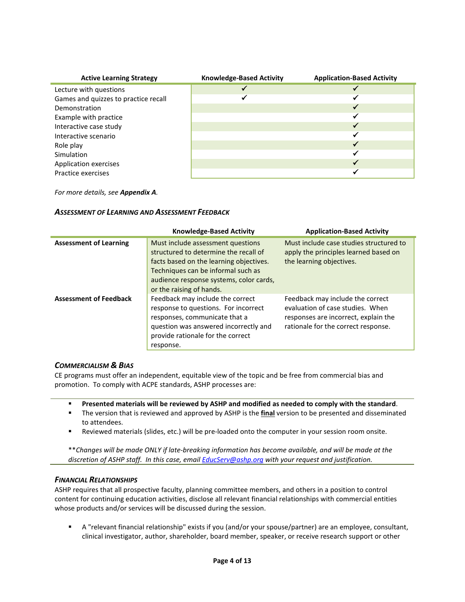| <b>Active Learning Strategy</b>      | <b>Knowledge-Based Activity</b> | <b>Application-Based Activity</b> |
|--------------------------------------|---------------------------------|-----------------------------------|
| Lecture with questions               |                                 |                                   |
| Games and quizzes to practice recall |                                 |                                   |
| Demonstration                        |                                 |                                   |
| Example with practice                |                                 |                                   |
| Interactive case study               |                                 |                                   |
| Interactive scenario                 |                                 |                                   |
| Role play                            |                                 |                                   |
| Simulation                           |                                 | w                                 |
| Application exercises                |                                 |                                   |
| Practice exercises                   |                                 |                                   |

*For more details, see Appendix A.*

#### <span id="page-3-0"></span>*ASSESSMENT OF LEARNING AND ASSESSMENT FEEDBACK*

|                               | <b>Knowledge-Based Activity</b>                                                                                                                                                                                                    | <b>Application-Based Activity</b>                                                                                                                   |
|-------------------------------|------------------------------------------------------------------------------------------------------------------------------------------------------------------------------------------------------------------------------------|-----------------------------------------------------------------------------------------------------------------------------------------------------|
| <b>Assessment of Learning</b> | Must include assessment questions<br>structured to determine the recall of<br>facts based on the learning objectives.<br>Techniques can be informal such as<br>audience response systems, color cards,<br>or the raising of hands. | Must include case studies structured to<br>apply the principles learned based on<br>the learning objectives.                                        |
| <b>Assessment of Feedback</b> | Feedback may include the correct<br>response to questions. For incorrect<br>responses, communicate that a<br>question was answered incorrectly and<br>provide rationale for the correct<br>response.                               | Feedback may include the correct<br>evaluation of case studies. When<br>responses are incorrect, explain the<br>rationale for the correct response. |

#### <span id="page-3-1"></span>*COMMERCIALISM & BIAS*

CE programs must offer an independent, equitable view of the topic and be free from commercial bias and promotion. To comply with ACPE standards, ASHP processes are:

- **Presented materials will be reviewed by ASHP and modified as needed to comply with the standard**.
- The version that is reviewed and approved by ASHP is the **final** version to be presented and disseminated to attendees.
- Reviewed materials (slides, etc.) will be pre-loaded onto the computer in your session room onsite.

\*\**Changes will be made ONLY if late-breaking information has become available, and will be made at the discretion of ASHP staff. In this case, email [EducServ@ashp.org](mailto:EducServ@ashp.org) with your request and justification.*

#### <span id="page-3-2"></span>*FINANCIAL RELATIONSHIPS*

ASHP requires that all prospective faculty, planning committee members, and others in a position to control content for continuing education activities, disclose all relevant financial relationships with commercial entities whose products and/or services will be discussed during the session.

 A "relevant financial relationship" exists if you (and/or your spouse/partner) are an employee, consultant, clinical investigator, author, shareholder, board member, speaker, or receive research support or other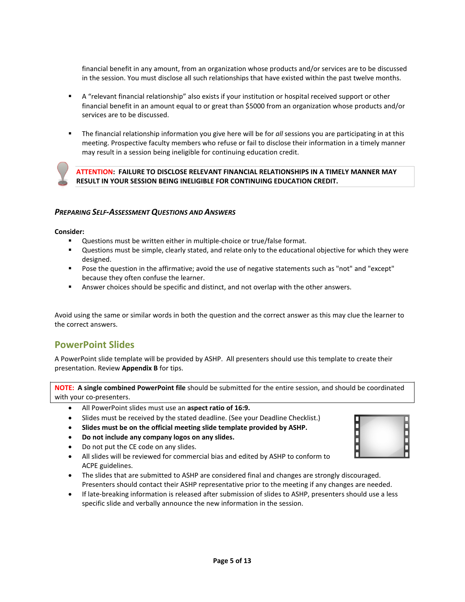financial benefit in any amount, from an organization whose products and/or services are to be discussed in the session. You must disclose all such relationships that have existed within the past twelve months.

- A "relevant financial relationship" also exists if your institution or hospital received support or other financial benefit in an amount equal to or great than \$5000 from an organization whose products and/or services are to be discussed.
- The financial relationship information you give here will be for *all* sessions you are participating in at this meeting. Prospective faculty members who refuse or fail to disclose their information in a timely manner may result in a session being ineligible for continuing education credit.



**ATTENTION: FAILURE TO DISCLOSE RELEVANT FINANCIAL RELATIONSHIPS IN A TIMELY MANNER MAY RESULT IN YOUR SESSION BEING INELIGIBLE FOR CONTINUING EDUCATION CREDIT.**

#### <span id="page-4-0"></span>*PREPARING SELF-ASSESSMENT QUESTIONS AND ANSWERS*

**Consider:**

- **Questions must be written either in multiple-choice or true/false format.**
- Questions must be simple, clearly stated, and relate only to the educational objective for which they were designed.
- Pose the question in the affirmative; avoid the use of negative statements such as "not" and "except" because they often confuse the learner.
- Answer choices should be specific and distinct, and not overlap with the other answers.

Avoid using the same or similar words in both the question and the correct answer as this may clue the learner to the correct answers.

## <span id="page-4-1"></span>**PowerPoint Slides**

A PowerPoint slide template will be provided by ASHP. All presenters should use this template to create their presentation. Review **Appendix B** for tips.

**NOTE: A single combined PowerPoint file** should be submitted for the entire session, and should be coordinated with your co-presenters.

- All PowerPoint slides must use an **aspect ratio of 16:9.**
- Slides must be received by the stated deadline. (See your Deadline Checklist.)
- **Slides must be on the official meeting slide template provided by ASHP.**
- **Do not include any company logos on any slides.**
- Do not put the CE code on any slides.
- All slides will be reviewed for commercial bias and edited by ASHP to conform to ACPE guidelines.
- The slides that are submitted to ASHP are considered final and changes are strongly discouraged. Presenters should contact their ASHP representative prior to the meeting if any changes are needed.
- If late-breaking information is released after submission of slides to ASHP, presenters should use a less specific slide and verbally announce the new information in the session.

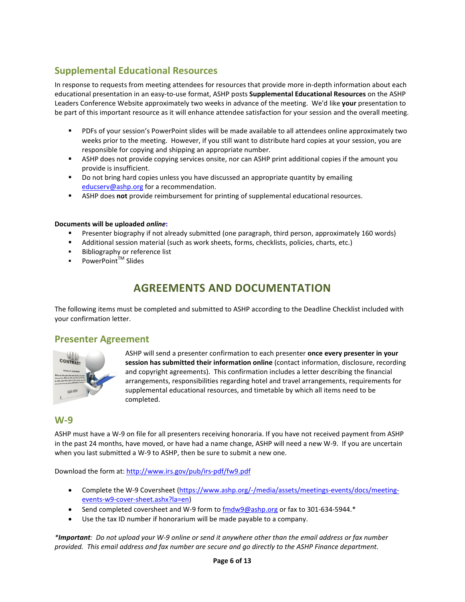# <span id="page-5-0"></span>**Supplemental Educational Resources**

In response to requests from meeting attendees for resources that provide more in-depth information about each educational presentation in an easy-to-use format, ASHP posts **Supplemental Educational Resources** on the ASHP Leaders Conference Website approximately two weeks in advance of the meeting. We'd like **your** presentation to be part of this important resource as it will enhance attendee satisfaction for your session and the overall meeting.

- PDFs of your session's PowerPoint slides will be made available to all attendees online approximately two weeks prior to the meeting. However, if you still want to distribute hard copies at your session, you are responsible for copying and shipping an appropriate number.
- ASHP does not provide copying services onsite, nor can ASHP print additional copies if the amount you provide is insufficient.
- **Do not bring hard copies unless you have discussed an appropriate quantity by emailing** [educserv@ashp.org](mailto:educserv@ashp.org) for a recommendation.
- ASHP does **not** provide reimbursement for printing of supplemental educational resources.

#### **Documents will be uploaded** *online***:**

- Presenter biography if not already submitted (one paragraph, third person, approximately 160 words)
- Additional session material (such as work sheets, forms, checklists, policies, charts, etc.)
- Bibliography or reference list
- PowerPoint™ Slides

# **AGREEMENTS AND DOCUMENTATION**

<span id="page-5-1"></span>The following items must be completed and submitted to ASHP according to the Deadline Checklist included with your confirmation letter.

#### <span id="page-5-2"></span>**Presenter Agreement**



ASHP will send a presenter confirmation to each presenter **once every presenter in your session has submitted their information online** (contact information, disclosure, recording and copyright agreements). This confirmation includes a letter describing the financial arrangements, responsibilities regarding hotel and travel arrangements, requirements for supplemental educational resources, and timetable by which all items need to be completed.

#### <span id="page-5-3"></span>**W-9**

ASHP must have a W-9 on file for all presenters receiving honoraria. If you have not received payment from ASHP in the past 24 months, have moved, or have had a name change, ASHP will need a new W-9. If you are uncertain when you last submitted a W-9 to ASHP, then be sure to submit a new one.

Download the form at[: http://www.irs.gov/pub/irs-pdf/fw9.pdf](http://www.irs.gov/pub/irs-pdf/fw9.pdf)

- Complete the W-9 Coversheet [\(https://www.ashp.org/-/media/assets/meetings-events/docs/meeting](https://www.ashp.org/-/media/assets/meetings-events/docs/meeting-events-w9-cover-sheet.ashx?la=en)[events-w9-cover-sheet.ashx?la=en\)](https://www.ashp.org/-/media/assets/meetings-events/docs/meeting-events-w9-cover-sheet.ashx?la=en)
- Send completed coversheet and W-9 form to [fmdw9@ashp.org](mailto:fmdw9@ashp.org) or fax to 301-634-5944.\*
- Use the tax ID number if honorarium will be made payable to a company.

*\*Important: Do not upload your W-9 online or send it anywhere other than the email address or fax number provided. This email address and fax number are secure and go directly to the ASHP Finance department.*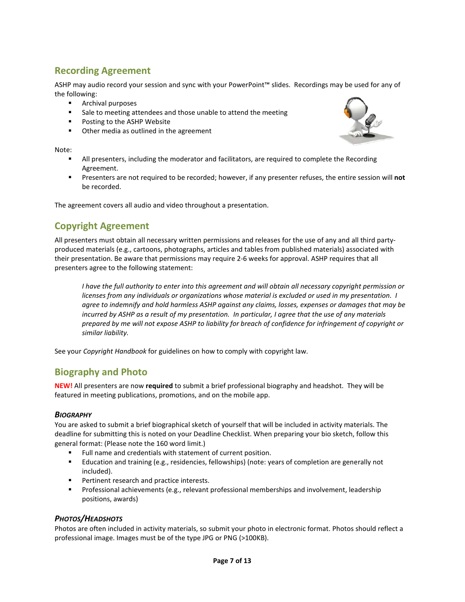# <span id="page-6-0"></span>**Recording Agreement**

ASHP may audio record your session and sync with your PowerPoint™ slides. Recordings may be used for any of the following:

- **Archival purposes**
- **Sale to meeting attendees and those unable to attend the meeting**
- **Posting to the ASHP Website**
- **•** Other media as outlined in the agreement

Note:

- All presenters, including the moderator and facilitators, are required to complete the Recording Agreement.
- Presenters are not required to be recorded; however, if any presenter refuses, the entire session will **not** be recorded.

The agreement covers all audio and video throughout a presentation.

## <span id="page-6-1"></span>**Copyright Agreement**

All presenters must obtain all necessary written permissions and releases for the use of any and all third partyproduced materials (e.g., cartoons, photographs, articles and tables from published materials) associated with their presentation. Be aware that permissions may require 2-6 weeks for approval. ASHP requires that all presenters agree to the following statement:

*I have the full authority to enter into this agreement and will obtain all necessary copyright permission or licenses from any individuals or organizations whose material is excluded or used in my presentation. I agree to indemnify and hold harmless ASHP against any claims, losses, expenses or damages that may be incurred by ASHP as a result of my presentation. In particular, I agree that the use of any materials prepared by me will not expose ASHP to liability for breach of confidence for infringement of copyright or similar liability.*

See your *Copyright Handbook* for guidelines on how to comply with copyright law.

## <span id="page-6-2"></span>**Biography and Photo**

**NEW!** All presenters are now **required** to submit a brief professional biography and headshot. They will be featured in meeting publications, promotions, and on the mobile app.

#### <span id="page-6-3"></span>*BIOGRAPHY*

You are asked to submit a brief biographical sketch of yourself that will be included in activity materials. The deadline for submitting this is noted on your Deadline Checklist. When preparing your bio sketch, follow this general format: (Please note the 160 word limit.)

- Full name and credentials with statement of current position.
- Education and training (e.g., residencies, fellowships) (note: years of completion are generally not included).
- **Pertinent research and practice interests.**
- **Professional achievements (e.g., relevant professional memberships and involvement, leadership** positions, awards)

#### <span id="page-6-4"></span>*PHOTOS/HEADSHOTS*

Photos are often included in activity materials, so submit your photo in electronic format. Photos should reflect a professional image. Images must be of the type JPG or PNG (>100KB).

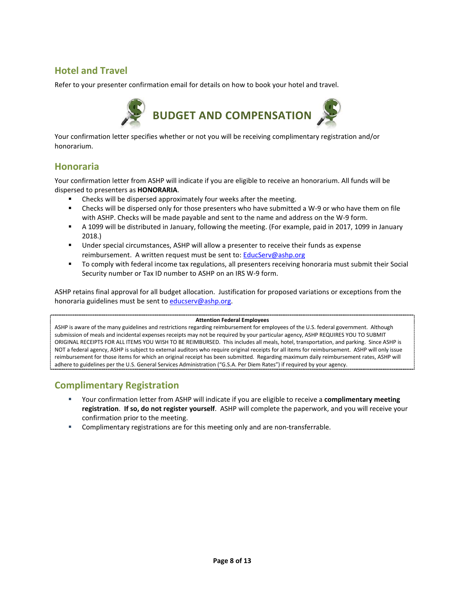## <span id="page-7-0"></span>**Hotel and Travel**

Refer to your presenter confirmation email for details on how to book your hotel and travel.



<span id="page-7-1"></span>Your confirmation letter specifies whether or not you will be receiving complimentary registration and/or honorarium.

## <span id="page-7-2"></span>**Honoraria**

Your confirmation letter from ASHP will indicate if you are eligible to receive an honorarium. All funds will be dispersed to presenters as **HONORARIA**.

- Checks will be dispersed approximately four weeks after the meeting.
- Checks will be dispersed only for those presenters who have submitted a W-9 or who have them on file with ASHP. Checks will be made payable and sent to the name and address on the W-9 form.
- A 1099 will be distributed in January, following the meeting. (For example, paid in 2017, 1099 in January 2018.)
- Under special circumstances, ASHP will allow a presenter to receive their funds as expense reimbursement. A written request must be sent to[: EducServ@ashp.org](mailto:EducServ@ashp.org)
- To comply with federal income tax regulations, all presenters receiving honoraria must submit their Social Security number or Tax ID number to ASHP on an IRS W-9 form.

ASHP retains final approval for all budget allocation. Justification for proposed variations or exceptions from the honoraria guidelines must be sent t[o educserv@ashp.org.](mailto:educserv@ashp.org)

#### **Attention Federal Employees**

ASHP is aware of the many guidelines and restrictions regarding reimbursement for employees of the U.S. federal government. Although submission of meals and incidental expenses receipts may not be required by your particular agency, ASHP REQUIRES YOU TO SUBMIT ORIGINAL RECEIPTS FOR ALL ITEMS YOU WISH TO BE REIMBURSED. This includes all meals, hotel, transportation, and parking. Since ASHP is NOT a federal agency, ASHP is subject to external auditors who require original receipts for all items for reimbursement. ASHP will only issue reimbursement for those items for which an original receipt has been submitted. Regarding maximum daily reimbursement rates, ASHP will adhere to guidelines per the U.S. General Services Administration ("G.S.A. Per Diem Rates") if required by your agency.

## <span id="page-7-3"></span>**Complimentary Registration**

- Your confirmation letter from ASHP will indicate if you are eligible to receive a **complimentary meeting registration**. **If so, do not register yourself**. ASHP will complete the paperwork, and you will receive your confirmation prior to the meeting.
- **Complimentary registrations are for this meeting only and are non-transferrable.**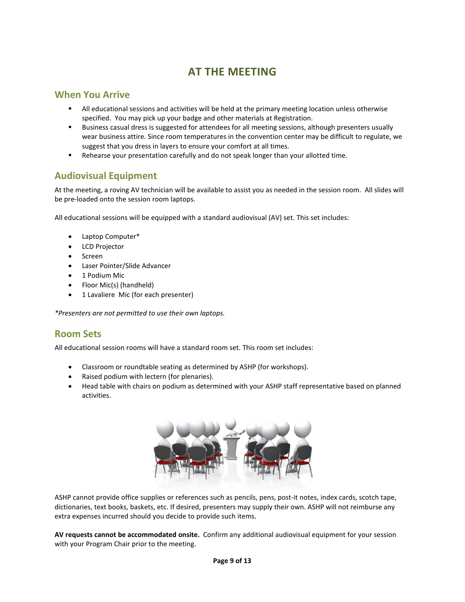# **AT THE MEETING**

### <span id="page-8-1"></span><span id="page-8-0"></span>**When You Arrive**

- All educational sessions and activities will be held at the primary meeting location unless otherwise specified. You may pick up your badge and other materials at Registration.
- Business casual dress is suggested for attendees for all meeting sessions, although presenters usually wear business attire. Since room temperatures in the convention center may be difficult to regulate, we suggest that you dress in layers to ensure your comfort at all times.
- Rehearse your presentation carefully and do not speak longer than your allotted time.

## <span id="page-8-2"></span>**Audiovisual Equipment**

At the meeting, a roving AV technician will be available to assist you as needed in the session room. All slides will be pre-loaded onto the session room laptops.

All educational sessions will be equipped with a standard audiovisual (AV) set. This set includes:

- Laptop Computer\*
- LCD Projector
- Screen
- Laser Pointer/Slide Advancer
- 1 Podium Mic
- Floor Mic(s) (handheld)
- 1 Lavaliere Mic (for each presenter)

*\*Presenters are not permitted to use their own laptops.*

## <span id="page-8-3"></span>**Room Sets**

All educational session rooms will have a standard room set. This room set includes:

- Classroom or roundtable seating as determined by ASHP (for workshops).
- Raised podium with lectern (for plenaries).
- Head table with chairs on podium as determined with your ASHP staff representative based on planned activities.



ASHP cannot provide office supplies or references such as pencils, pens, post-it notes, index cards, scotch tape, dictionaries, text books, baskets, etc. If desired, presenters may supply their own. ASHP will not reimburse any extra expenses incurred should you decide to provide such items.

**AV requests cannot be accommodated onsite.** Confirm any additional audiovisual equipment for your session with your Program Chair prior to the meeting.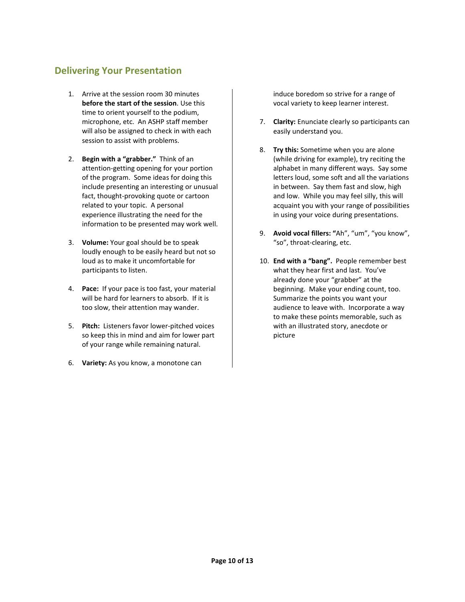## <span id="page-9-0"></span>**Delivering Your Presentation**

- 1. Arrive at the session room 30 minutes **before the start of the session**. Use this time to orient yourself to the podium, microphone, etc. An ASHP staff member will also be assigned to check in with each session to assist with problems.
- 2. **Begin with a "grabber."** Think of an attention-getting opening for your portion of the program. Some ideas for doing this include presenting an interesting or unusual fact, thought-provoking quote or cartoon related to your topic. A personal experience illustrating the need for the information to be presented may work well.
- 3. **Volume:** Your goal should be to speak loudly enough to be easily heard but not so loud as to make it uncomfortable for participants to listen.
- 4. **Pace:** If your pace is too fast, your material will be hard for learners to absorb. If it is too slow, their attention may wander.
- 5. **Pitch:** Listeners favor lower-pitched voices so keep this in mind and aim for lower part of your range while remaining natural.
- 6. **Variety:** As you know, a monotone can

induce boredom so strive for a range of vocal variety to keep learner interest.

- 7. **Clarity:** Enunciate clearly so participants can easily understand you.
- 8. **Try this:** Sometime when you are alone (while driving for example), try reciting the alphabet in many different ways. Say some letters loud, some soft and all the variations in between. Say them fast and slow, high and low. While you may feel silly, this will acquaint you with your range of possibilities in using your voice during presentations.
- 9. **Avoid vocal fillers: "**Ah", "um", "you know", "so", throat-clearing, etc.
- 10. **End with a "bang".** People remember best what they hear first and last. You've already done your "grabber" at the beginning. Make your ending count, too. Summarize the points you want your audience to leave with. Incorporate a way to make these points memorable, such as with an illustrated story, anecdote or picture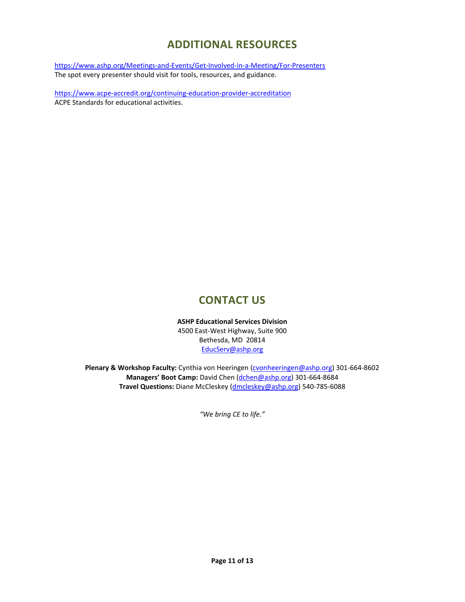# **ADDITIONAL RESOURCES**

<span id="page-10-0"></span><https://www.ashp.org/Meetings-and-Events/Get-Involved-in-a-Meeting/For-Presenters> The spot every presenter should visit for tools, resources, and guidance.

<https://www.acpe-accredit.org/continuing-education-provider-accreditation> ACPE Standards for educational activities.

# **CONTACT US**

**ASHP Educational Services Division** 4500 East-West Highway, Suite 900 Bethesda, MD 20814 [EducServ@ashp.org](mailto:EducServ@ashp.org)

<span id="page-10-1"></span>Plenary & Workshop Faculty: Cynthia von Heeringen [\(cvonheeringen@ashp.org\)](mailto:cvonheeringen@ashp.org) 301-664-8602 **Managers' Boot Camp:** David Chen [\(dchen@ashp.org\)](mailto:dchen@ashp.org) 301-664-8684 **Travel Questions:** Diane McCleskey [\(dmcleskey@ashp.org\)](mailto:dmcleskey@ashp.org) 540-785-6088

*"We bring CE to life."*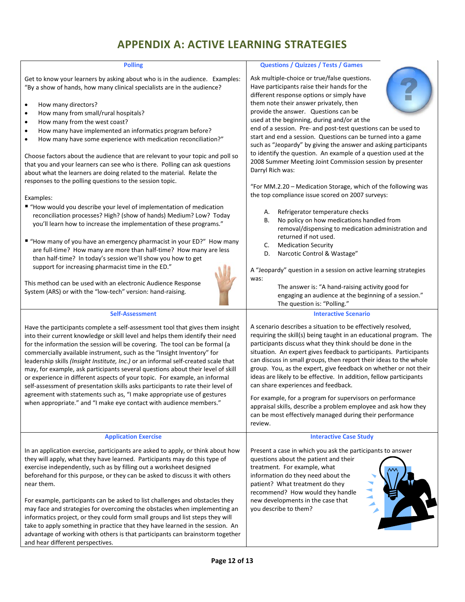# **APPENDIX A: ACTIVE LEARNING STRATEGIES**

<span id="page-11-0"></span>

| <b>Polling</b>                                                                                                                                                                                                                                                                                                                                                                                                                                                                                                                                                                                                                                                                                                                                                                                                                 | <b>Questions / Quizzes / Tests / Games</b>                                                                                                                                                                                                                                                                                                                                                                                                                                                                                                                                                                                                                                                                                                            |
|--------------------------------------------------------------------------------------------------------------------------------------------------------------------------------------------------------------------------------------------------------------------------------------------------------------------------------------------------------------------------------------------------------------------------------------------------------------------------------------------------------------------------------------------------------------------------------------------------------------------------------------------------------------------------------------------------------------------------------------------------------------------------------------------------------------------------------|-------------------------------------------------------------------------------------------------------------------------------------------------------------------------------------------------------------------------------------------------------------------------------------------------------------------------------------------------------------------------------------------------------------------------------------------------------------------------------------------------------------------------------------------------------------------------------------------------------------------------------------------------------------------------------------------------------------------------------------------------------|
| Get to know your learners by asking about who is in the audience. Examples:<br>"By a show of hands, how many clinical specialists are in the audience?<br>How many directors?<br>٠<br>How many from small/rural hospitals?<br>$\bullet$<br>How many from the west coast?<br>٠<br>How many have implemented an informatics program before?<br>$\bullet$<br>How many have some experience with medication reconciliation?"<br>$\bullet$<br>Choose factors about the audience that are relevant to your topic and poll so<br>that you and your learners can see who is there. Polling can ask questions<br>about what the learners are doing related to the material. Relate the<br>responses to the polling questions to the session topic.<br>Examples:<br>■ "How would you describe your level of implementation of medication | Ask multiple-choice or true/false questions.<br>Have participants raise their hands for the<br>different response options or simply have<br>them note their answer privately, then<br>provide the answer. Questions can be<br>used at the beginning, during and/or at the<br>end of a session. Pre- and post-test questions can be used to<br>start and end a session. Questions can be turned into a game<br>such as "Jeopardy" by giving the answer and asking participants<br>to identify the question. An example of a question used at the<br>2008 Summer Meeting Joint Commission session by presenter<br>Darryl Rich was:<br>"For MM.2.20 - Medication Storage, which of the following was<br>the top compliance issue scored on 2007 surveys: |
| reconciliation processes? High? (show of hands) Medium? Low? Today<br>you'll learn how to increase the implementation of these programs."<br>■ "How many of you have an emergency pharmacist in your ED?" How many<br>are full-time? How many are more than half-time? How many are less<br>than half-time? In today's session we'll show you how to get<br>support for increasing pharmacist time in the ED."<br>This method can be used with an electronic Audience Response<br>System (ARS) or with the "low-tech" version: hand-raising.                                                                                                                                                                                                                                                                                   | Refrigerator temperature checks<br>А.<br>No policy on how medications handled from<br>В.<br>removal/dispensing to medication administration and<br>returned if not used.<br><b>Medication Security</b><br>C.<br>Narcotic Control & Wastage"<br>D.<br>A "Jeopardy" question in a session on active learning strategies<br>was:<br>The answer is: "A hand-raising activity good for<br>engaging an audience at the beginning of a session."<br>The question is: "Polling."                                                                                                                                                                                                                                                                              |
| <b>Self-Assessment</b>                                                                                                                                                                                                                                                                                                                                                                                                                                                                                                                                                                                                                                                                                                                                                                                                         | <b>Interactive Scenario</b>                                                                                                                                                                                                                                                                                                                                                                                                                                                                                                                                                                                                                                                                                                                           |
| Have the participants complete a self-assessment tool that gives them insight<br>into their current knowledge or skill level and helps them identify their need<br>for the information the session will be covering. The tool can be formal (a<br>commercially available instrument, such as the "Insight Inventory" for<br>leadership skills (Insight Institute, Inc.) or an informal self-created scale that<br>may, for example, ask participants several questions about their level of skill<br>or experience in different aspects of your topic. For example, an informal<br>self-assessment of presentation skills asks participants to rate their level of<br>agreement with statements such as, "I make appropriate use of gestures<br>when appropriate." and "I make eye contact with audience members."             | A scenario describes a situation to be effectively resolved,<br>requiring the skill(s) being taught in an educational program. The<br>participants discuss what they think should be done in the<br>situation. An expert gives feedback to participants. Participants<br>can discuss in small groups, then report their ideas to the whole<br>group. You, as the expert, give feedback on whether or not their<br>ideas are likely to be effective. In addition, fellow participants<br>can share experiences and feedback.<br>For example, for a program for supervisors on performance<br>appraisal skills, describe a problem employee and ask how they<br>can be most effectively managed during their performance<br>review.                     |
| <b>Application Exercise</b>                                                                                                                                                                                                                                                                                                                                                                                                                                                                                                                                                                                                                                                                                                                                                                                                    | <b>Interactive Case Study</b>                                                                                                                                                                                                                                                                                                                                                                                                                                                                                                                                                                                                                                                                                                                         |
| In an application exercise, participants are asked to apply, or think about how<br>they will apply, what they have learned. Participants may do this type of<br>exercise independently, such as by filling out a worksheet designed<br>beforehand for this purpose, or they can be asked to discuss it with others<br>near them.<br>For example, participants can be asked to list challenges and obstacles they<br>may face and strategies for overcoming the obstacles when implementing an<br>informatics project, or they could form small groups and list steps they will<br>take to apply something in practice that they have learned in the session. An<br>advantage of working with others is that participants can brainstorm together<br>and hear different perspectives.                                           | Present a case in which you ask the participants to answer<br>questions about the patient and their<br>treatment. For example, what<br>information do they need about the<br>patient? What treatment do they<br>recommend? How would they handle<br>new developments in the case that<br>you describe to them?                                                                                                                                                                                                                                                                                                                                                                                                                                        |